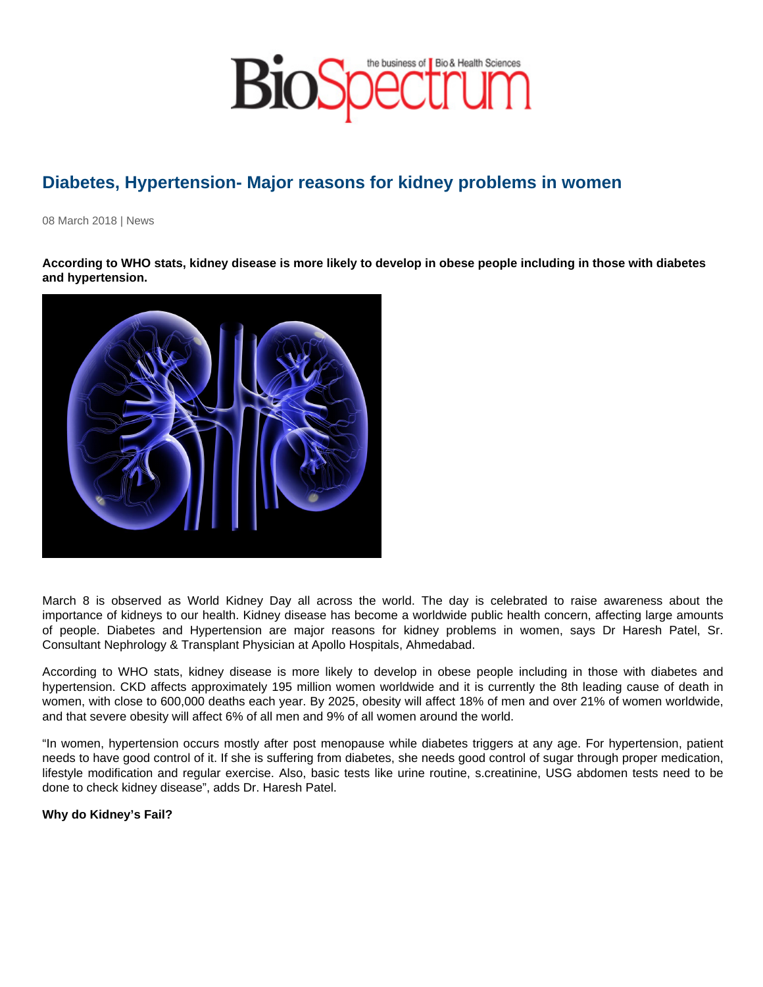# Diabetes, Hypertension- Major reasons for kidney problems in women

08 March 2018 | News

According to WHO stats, kidney disease is more likely to develop in obese people including in those with diabetes and hypertension.

March 8 is observed as World Kidney Day all across the world. The day is celebrated to raise awareness about the importance of kidneys to our health. Kidney disease has become a worldwide public health concern, affecting large amounts of people. Diabetes and Hypertension are major reasons for kidney problems in women, says Dr Haresh Patel, Sr. Consultant Nephrology & Transplant Physician at Apollo Hospitals, Ahmedabad.

According to WHO stats, kidney disease is more likely to develop in obese people including in those with diabetes and hypertension. CKD affects approximately 195 million women worldwide and it is currently the 8th leading cause of death in women, with close to 600,000 deaths each year. By 2025, obesity will affect 18% of men and over 21% of women worldwide, and that severe obesity will affect 6% of all men and 9% of all women around the world.

"In women, hypertension occurs mostly after post menopause while diabetes triggers at any age. For hypertension, patient needs to have good control of it. If she is suffering from diabetes, she needs good control of sugar through proper medication, lifestyle modification and regular exercise. Also, basic tests like urine routine, s.creatinine, USG abdomen tests need to be done to check kidney disease", adds Dr. Haresh Patel.

Why do Kidney's Fail?